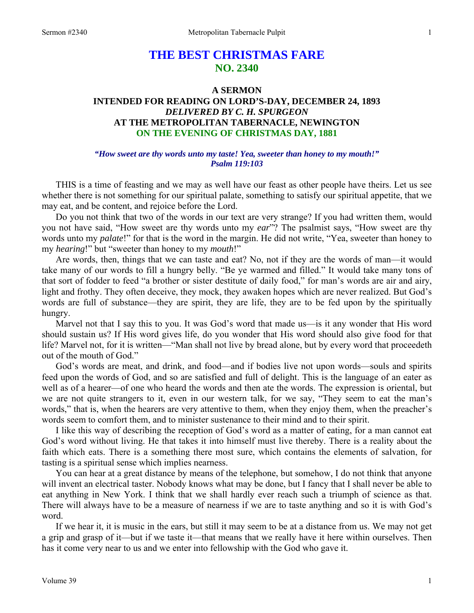# **THE BEST CHRISTMAS FARE NO. 2340**

# **A SERMON INTENDED FOR READING ON LORD'S-DAY, DECEMBER 24, 1893**  *DELIVERED BY C. H. SPURGEON*  **AT THE METROPOLITAN TABERNACLE, NEWINGTON ON THE EVENING OF CHRISTMAS DAY, 1881**

### *"How sweet are thy words unto my taste! Yea, sweeter than honey to my mouth!" Psalm 119:103*

THIS is a time of feasting and we may as well have our feast as other people have theirs. Let us see whether there is not something for our spiritual palate, something to satisfy our spiritual appetite, that we may eat, and be content, and rejoice before the Lord.

Do you not think that two of the words in our text are very strange? If you had written them, would you not have said, "How sweet are thy words unto my *ear*"? The psalmist says, "How sweet are thy words unto my *palate*!" for that is the word in the margin. He did not write, "Yea, sweeter than honey to my *hearing*!" but "sweeter than honey to my *mouth*!"

Are words, then, things that we can taste and eat? No, not if they are the words of man—it would take many of our words to fill a hungry belly. "Be ye warmed and filled." It would take many tons of that sort of fodder to feed "a brother or sister destitute of daily food," for man's words are air and airy, light and frothy. They often deceive, they mock, they awaken hopes which are never realized. But God's words are full of substance—they are spirit, they are life, they are to be fed upon by the spiritually hungry.

Marvel not that I say this to you. It was God's word that made us—is it any wonder that His word should sustain us? If His word gives life, do you wonder that His word should also give food for that life? Marvel not, for it is written—"Man shall not live by bread alone, but by every word that proceedeth out of the mouth of God."

God's words are meat, and drink, and food—and if bodies live not upon words—souls and spirits feed upon the words of God, and so are satisfied and full of delight. This is the language of an eater as well as of a hearer—of one who heard the words and then ate the words. The expression is oriental, but we are not quite strangers to it, even in our western talk, for we say, "They seem to eat the man's words," that is, when the hearers are very attentive to them, when they enjoy them, when the preacher's words seem to comfort them, and to minister sustenance to their mind and to their spirit.

I like this way of describing the reception of God's word as a matter of eating, for a man cannot eat God's word without living. He that takes it into himself must live thereby. There is a reality about the faith which eats. There is a something there most sure, which contains the elements of salvation, for tasting is a spiritual sense which implies nearness.

You can hear at a great distance by means of the telephone, but somehow, I do not think that anyone will invent an electrical taster. Nobody knows what may be done, but I fancy that I shall never be able to eat anything in New York. I think that we shall hardly ever reach such a triumph of science as that. There will always have to be a measure of nearness if we are to taste anything and so it is with God's word.

If we hear it, it is music in the ears, but still it may seem to be at a distance from us. We may not get a grip and grasp of it—but if we taste it—that means that we really have it here within ourselves. Then has it come very near to us and we enter into fellowship with the God who gave it.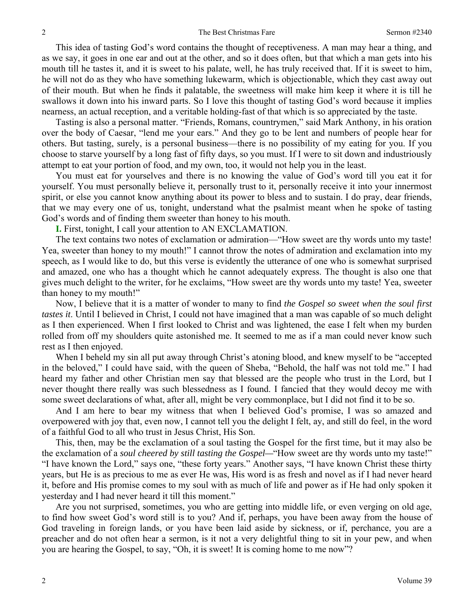This idea of tasting God's word contains the thought of receptiveness. A man may hear a thing, and as we say, it goes in one ear and out at the other, and so it does often, but that which a man gets into his mouth till he tastes it, and it is sweet to his palate, well, he has truly received that. If it is sweet to him, he will not do as they who have something lukewarm, which is objectionable, which they cast away out of their mouth. But when he finds it palatable, the sweetness will make him keep it where it is till he swallows it down into his inward parts. So I love this thought of tasting God's word because it implies nearness, an actual reception, and a veritable holding-fast of that which is so appreciated by the taste.

Tasting is also a personal matter. "Friends, Romans, countrymen," said Mark Anthony, in his oration over the body of Caesar, "lend me your ears." And they go to be lent and numbers of people hear for others. But tasting, surely, is a personal business—there is no possibility of my eating for you. If you choose to starve yourself by a long fast of fifty days, so you must. If I were to sit down and industriously attempt to eat your portion of food, and my own, too, it would not help you in the least.

You must eat for yourselves and there is no knowing the value of God's word till you eat it for yourself. You must personally believe it, personally trust to it, personally receive it into your innermost spirit, or else you cannot know anything about its power to bless and to sustain. I do pray, dear friends, that we may every one of us, tonight, understand what the psalmist meant when he spoke of tasting God's words and of finding them sweeter than honey to his mouth.

**I.** First, tonight, I call your attention to AN EXCLAMATION.

The text contains two notes of exclamation or admiration—"How sweet are thy words unto my taste! Yea, sweeter than honey to my mouth!" I cannot throw the notes of admiration and exclamation into my speech, as I would like to do, but this verse is evidently the utterance of one who is somewhat surprised and amazed, one who has a thought which he cannot adequately express. The thought is also one that gives much delight to the writer, for he exclaims, "How sweet are thy words unto my taste! Yea, sweeter than honey to my mouth!"

Now, I believe that it is a matter of wonder to many to find *the Gospel so sweet when the soul first tastes it*. Until I believed in Christ, I could not have imagined that a man was capable of so much delight as I then experienced. When I first looked to Christ and was lightened, the ease I felt when my burden rolled from off my shoulders quite astonished me. It seemed to me as if a man could never know such rest as I then enjoyed.

When I beheld my sin all put away through Christ's atoning blood, and knew myself to be "accepted in the beloved," I could have said, with the queen of Sheba, "Behold, the half was not told me." I had heard my father and other Christian men say that blessed are the people who trust in the Lord, but I never thought there really was such blessedness as I found. I fancied that they would decoy me with some sweet declarations of what, after all, might be very commonplace, but I did not find it to be so.

And I am here to bear my witness that when I believed God's promise, I was so amazed and overpowered with joy that, even now, I cannot tell you the delight I felt, ay, and still do feel, in the word of a faithful God to all who trust in Jesus Christ, His Son.

This, then, may be the exclamation of a soul tasting the Gospel for the first time, but it may also be the exclamation of a *soul cheered by still tasting the Gospel—*"How sweet are thy words unto my taste!" "I have known the Lord," says one, "these forty years." Another says, "I have known Christ these thirty years, but He is as precious to me as ever He was, His word is as fresh and novel as if I had never heard it, before and His promise comes to my soul with as much of life and power as if He had only spoken it yesterday and I had never heard it till this moment."

Are you not surprised, sometimes, you who are getting into middle life, or even verging on old age, to find how sweet God's word still is to you? And if, perhaps, you have been away from the house of God traveling in foreign lands, or you have been laid aside by sickness, or if, perchance, you are a preacher and do not often hear a sermon, is it not a very delightful thing to sit in your pew, and when you are hearing the Gospel, to say, "Oh, it is sweet! It is coming home to me now"?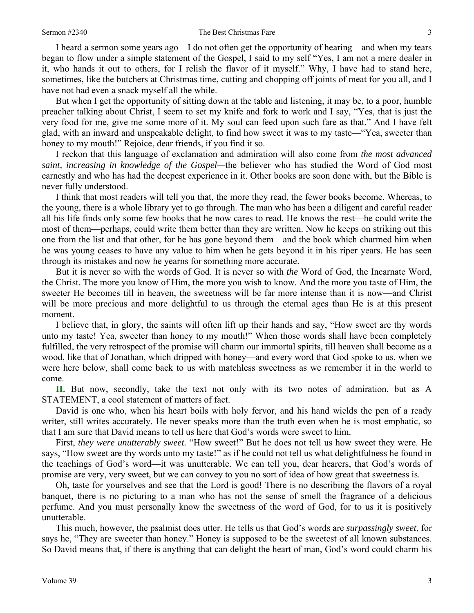I heard a sermon some years ago—I do not often get the opportunity of hearing—and when my tears began to flow under a simple statement of the Gospel, I said to my self "Yes, I am not a mere dealer in it, who hands it out to others, for I relish the flavor of it myself." Why, I have had to stand here, sometimes, like the butchers at Christmas time, cutting and chopping off joints of meat for you all, and I have not had even a snack myself all the while.

But when I get the opportunity of sitting down at the table and listening, it may be, to a poor, humble preacher talking about Christ, I seem to set my knife and fork to work and I say, "Yes, that is just the very food for me, give me some more of it. My soul can feed upon such fare as that." And I have felt glad, with an inward and unspeakable delight, to find how sweet it was to my taste—"Yea, sweeter than honey to my mouth!" Rejoice, dear friends, if you find it so.

I reckon that this language of exclamation and admiration will also come from *the most advanced saint, increasing in knowledge of the Gospel—*the believer who has studied the Word of God most earnestly and who has had the deepest experience in it. Other books are soon done with, but the Bible is never fully understood.

I think that most readers will tell you that, the more they read, the fewer books become. Whereas, to the young, there is a whole library yet to go through. The man who has been a diligent and careful reader all his life finds only some few books that he now cares to read. He knows the rest—he could write the most of them—perhaps, could write them better than they are written. Now he keeps on striking out this one from the list and that other, for he has gone beyond them—and the book which charmed him when he was young ceases to have any value to him when he gets beyond it in his riper years. He has seen through its mistakes and now he yearns for something more accurate.

But it is never so with the words of God. It is never so with *the* Word of God, the Incarnate Word, the Christ. The more you know of Him, the more you wish to know. And the more you taste of Him, the sweeter He becomes till in heaven, the sweetness will be far more intense than it is now—and Christ will be more precious and more delightful to us through the eternal ages than He is at this present moment.

I believe that, in glory, the saints will often lift up their hands and say, "How sweet are thy words unto my taste! Yea, sweeter than honey to my mouth!" When those words shall have been completely fulfilled, the very retrospect of the promise will charm our immortal spirits, till heaven shall become as a wood, like that of Jonathan, which dripped with honey—and every word that God spoke to us, when we were here below, shall come back to us with matchless sweetness as we remember it in the world to come.

**II.** But now, secondly, take the text not only with its two notes of admiration, but as A STATEMENT, a cool statement of matters of fact.

David is one who, when his heart boils with holy fervor, and his hand wields the pen of a ready writer, still writes accurately. He never speaks more than the truth even when he is most emphatic, so that I am sure that David means to tell us here that God's words were sweet to him.

First, *they were unutterably sweet.* "How sweet!" But he does not tell us how sweet they were. He says, "How sweet are thy words unto my taste!" as if he could not tell us what delightfulness he found in the teachings of God's word—it was unutterable. We can tell you, dear hearers, that God's words of promise are very, very sweet, but we can convey to you no sort of idea of how great that sweetness is.

Oh, taste for yourselves and see that the Lord is good! There is no describing the flavors of a royal banquet, there is no picturing to a man who has not the sense of smell the fragrance of a delicious perfume. And you must personally know the sweetness of the word of God, for to us it is positively unutterable.

This much, however, the psalmist does utter. He tells us that God's words are *surpassingly sweet*, for says he, "They are sweeter than honey." Honey is supposed to be the sweetest of all known substances. So David means that, if there is anything that can delight the heart of man, God's word could charm his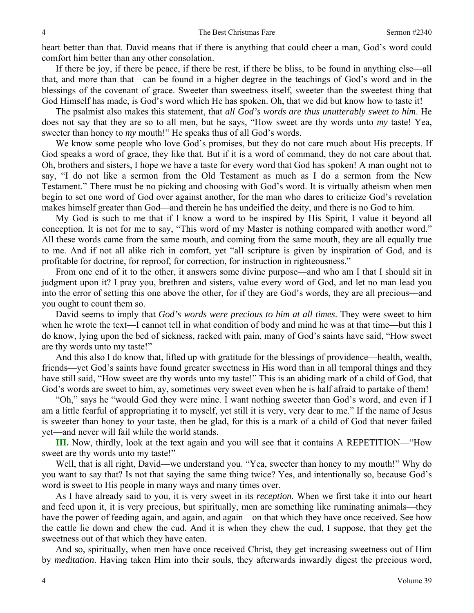heart better than that. David means that if there is anything that could cheer a man, God's word could comfort him better than any other consolation.

If there be joy, if there be peace, if there be rest, if there be bliss, to be found in anything else—all that, and more than that—can be found in a higher degree in the teachings of God's word and in the blessings of the covenant of grace. Sweeter than sweetness itself, sweeter than the sweetest thing that God Himself has made, is God's word which He has spoken. Oh, that we did but know how to taste it!

The psalmist also makes this statement, that *all God's words are thus unutterably sweet to him*. He does not say that they are so to all men, but he says, "How sweet are thy words unto *my* taste! Yea, sweeter than honey to *my* mouth!" He speaks thus of all God's words.

We know some people who love God's promises, but they do not care much about His precepts. If God speaks a word of grace, they like that. But if it is a word of command, they do not care about that. Oh, brothers and sisters, I hope we have a taste for every word that God has spoken! A man ought not to say, "I do not like a sermon from the Old Testament as much as I do a sermon from the New Testament." There must be no picking and choosing with God's word. It is virtually atheism when men begin to set one word of God over against another, for the man who dares to criticize God's revelation makes himself greater than God—and therein he has undeified the deity, and there is no God to him.

My God is such to me that if I know a word to be inspired by His Spirit, I value it beyond all conception. It is not for me to say, "This word of my Master is nothing compared with another word." All these words came from the same mouth, and coming from the same mouth, they are all equally true to me. And if not all alike rich in comfort, yet "all scripture is given by inspiration of God, and is profitable for doctrine, for reproof, for correction, for instruction in righteousness."

From one end of it to the other, it answers some divine purpose—and who am I that I should sit in judgment upon it? I pray you, brethren and sisters, value every word of God, and let no man lead you into the error of setting this one above the other, for if they are God's words, they are all precious—and you ought to count them so.

David seems to imply that *God's words were precious to him at all times*. They were sweet to him when he wrote the text—I cannot tell in what condition of body and mind he was at that time—but this I do know, lying upon the bed of sickness, racked with pain, many of God's saints have said, "How sweet are thy words unto my taste!"

And this also I do know that, lifted up with gratitude for the blessings of providence—health, wealth, friends—yet God's saints have found greater sweetness in His word than in all temporal things and they have still said, "How sweet are thy words unto my taste!" This is an abiding mark of a child of God, that God's words are sweet to him, ay, sometimes very sweet even when he is half afraid to partake of them!

"Oh," says he "would God they were mine. I want nothing sweeter than God's word, and even if I am a little fearful of appropriating it to myself, yet still it is very, very dear to me." If the name of Jesus is sweeter than honey to your taste, then be glad, for this is a mark of a child of God that never failed yet—and never will fail while the world stands.

**III.** Now, thirdly, look at the text again and you will see that it contains A REPETITION—"How sweet are thy words unto my taste!"

Well, that is all right, David—we understand you. "Yea, sweeter than honey to my mouth!" Why do you want to say that? Is not that saying the same thing twice? Yes, and intentionally so, because God's word is sweet to His people in many ways and many times over.

As I have already said to you, it is very sweet in its *reception.* When we first take it into our heart and feed upon it, it is very precious, but spiritually, men are something like ruminating animals—they have the power of feeding again, and again, and again—on that which they have once received. See how the cattle lie down and chew the cud. And it is when they chew the cud, I suppose, that they get the sweetness out of that which they have eaten.

And so, spiritually, when men have once received Christ, they get increasing sweetness out of Him by *meditation*. Having taken Him into their souls, they afterwards inwardly digest the precious word,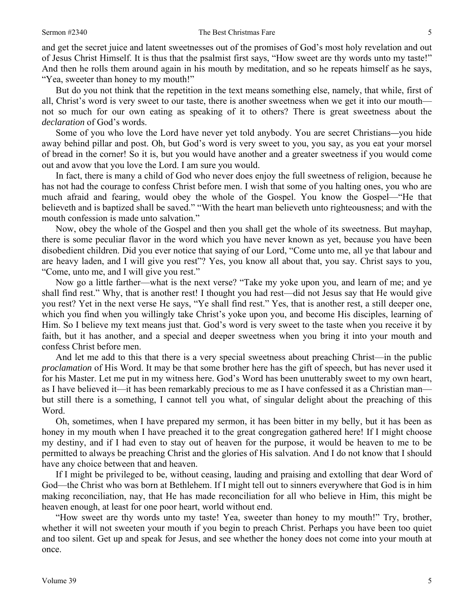and get the secret juice and latent sweetnesses out of the promises of God's most holy revelation and out of Jesus Christ Himself. It is thus that the psalmist first says, "How sweet are thy words unto my taste!" And then he rolls them around again in his mouth by meditation, and so he repeats himself as he says, "Yea, sweeter than honey to my mouth!"

But do you not think that the repetition in the text means something else, namely, that while, first of all, Christ's word is very sweet to our taste, there is another sweetness when we get it into our mouth not so much for our own eating as speaking of it to others? There is great sweetness about the *declaration* of God's words.

Some of you who love the Lord have never yet told anybody. You are secret Christians*—*you hide away behind pillar and post. Oh, but God's word is very sweet to you, you say, as you eat your morsel of bread in the corner! So it is, but you would have another and a greater sweetness if you would come out and avow that you love the Lord. I am sure you would.

In fact, there is many a child of God who never does enjoy the full sweetness of religion, because he has not had the courage to confess Christ before men. I wish that some of you halting ones, you who are much afraid and fearing, would obey the whole of the Gospel. You know the Gospel—"He that believeth and is baptized shall be saved." "With the heart man believeth unto righteousness; and with the mouth confession is made unto salvation."

Now, obey the whole of the Gospel and then you shall get the whole of its sweetness. But mayhap, there is some peculiar flavor in the word which you have never known as yet, because you have been disobedient children. Did you ever notice that saying of our Lord, "Come unto me, all ye that labour and are heavy laden, and I will give you rest"? Yes, you know all about that, you say. Christ says to you, "Come, unto me, and I will give you rest."

Now go a little farther—what is the next verse? "Take my yoke upon you, and learn of me; and ye shall find rest." Why, that is another rest! I thought you had rest—did not Jesus say that He would give you rest? Yet in the next verse He says, "Ye shall find rest." Yes, that is another rest, a still deeper one, which you find when you willingly take Christ's yoke upon you, and become His disciples, learning of Him. So I believe my text means just that. God's word is very sweet to the taste when you receive it by faith, but it has another, and a special and deeper sweetness when you bring it into your mouth and confess Christ before men.

And let me add to this that there is a very special sweetness about preaching Christ—in the public *proclamation* of His Word. It may be that some brother here has the gift of speech, but has never used it for his Master. Let me put in my witness here. God's Word has been unutterably sweet to my own heart, as I have believed it—it has been remarkably precious to me as I have confessed it as a Christian man but still there is a something, I cannot tell you what, of singular delight about the preaching of this Word.

Oh, sometimes, when I have prepared my sermon, it has been bitter in my belly, but it has been as honey in my mouth when I have preached it to the great congregation gathered here! If I might choose my destiny, and if I had even to stay out of heaven for the purpose, it would be heaven to me to be permitted to always be preaching Christ and the glories of His salvation. And I do not know that I should have any choice between that and heaven.

If I might be privileged to be, without ceasing, lauding and praising and extolling that dear Word of God—the Christ who was born at Bethlehem. If I might tell out to sinners everywhere that God is in him making reconciliation, nay, that He has made reconciliation for all who believe in Him, this might be heaven enough, at least for one poor heart, world without end.

"How sweet are thy words unto my taste! Yea, sweeter than honey to my mouth!" Try, brother, whether it will not sweeten your mouth if you begin to preach Christ. Perhaps you have been too quiet and too silent. Get up and speak for Jesus, and see whether the honey does not come into your mouth at once.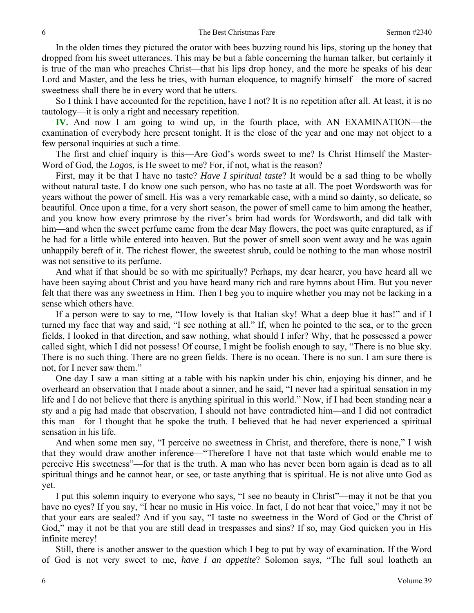In the olden times they pictured the orator with bees buzzing round his lips, storing up the honey that dropped from his sweet utterances. This may be but a fable concerning the human talker, but certainly it is true of the man who preaches Christ—that his lips drop honey, and the more he speaks of his dear Lord and Master, and the less he tries, with human eloquence, to magnify himself—the more of sacred sweetness shall there be in every word that he utters.

So I think I have accounted for the repetition, have I not? It is no repetition after all. At least, it is no tautology—it is only a right and necessary repetition.

**IV.** And now I am going to wind up, in the fourth place, with AN EXAMINATION—the examination of everybody here present tonight. It is the close of the year and one may not object to a few personal inquiries at such a time.

The first and chief inquiry is this—Are God's words sweet to me? Is Christ Himself the Master-Word of God, the *Logos*, is He sweet to me? For, if not, what is the reason?

First, may it be that I have no taste? *Have I spiritual taste*? It would be a sad thing to be wholly without natural taste. I do know one such person, who has no taste at all. The poet Wordsworth was for years without the power of smell. His was a very remarkable case, with a mind so dainty, so delicate, so beautiful. Once upon a time, for a very short season, the power of smell came to him among the heather, and you know how every primrose by the river's brim had words for Wordsworth, and did talk with him—and when the sweet perfume came from the dear May flowers, the poet was quite enraptured, as if he had for a little while entered into heaven. But the power of smell soon went away and he was again unhappily bereft of it. The richest flower, the sweetest shrub, could be nothing to the man whose nostril was not sensitive to its perfume.

And what if that should be so with me spiritually? Perhaps, my dear hearer, you have heard all we have been saying about Christ and you have heard many rich and rare hymns about Him. But you never felt that there was any sweetness in Him. Then I beg you to inquire whether you may not be lacking in a sense which others have.

If a person were to say to me, "How lovely is that Italian sky! What a deep blue it has!" and if I turned my face that way and said, "I see nothing at all." If, when he pointed to the sea, or to the green fields, I looked in that direction, and saw nothing, what should I infer? Why, that he possessed a power called sight, which I did not possess! Of course, I might be foolish enough to say, "There is no blue sky. There is no such thing. There are no green fields. There is no ocean. There is no sun. I am sure there is not, for I never saw them."

One day I saw a man sitting at a table with his napkin under his chin, enjoying his dinner, and he overheard an observation that I made about a sinner, and he said, "I never had a spiritual sensation in my life and I do not believe that there is anything spiritual in this world." Now, if I had been standing near a sty and a pig had made that observation, I should not have contradicted him—and I did not contradict this man—for I thought that he spoke the truth. I believed that he had never experienced a spiritual sensation in his life.

And when some men say, "I perceive no sweetness in Christ, and therefore, there is none," I wish that they would draw another inference—"Therefore I have not that taste which would enable me to perceive His sweetness"—for that is the truth. A man who has never been born again is dead as to all spiritual things and he cannot hear, or see, or taste anything that is spiritual. He is not alive unto God as yet.

I put this solemn inquiry to everyone who says, "I see no beauty in Christ"—may it not be that you have no eyes? If you say, "I hear no music in His voice. In fact, I do not hear that voice," may it not be that your ears are sealed? And if you say, "I taste no sweetness in the Word of God or the Christ of God," may it not be that you are still dead in trespasses and sins? If so, may God quicken you in His infinite mercy!

Still, there is another answer to the question which I beg to put by way of examination. If the Word of God is not very sweet to me, *have I an appetite*? Solomon says, "The full soul loatheth an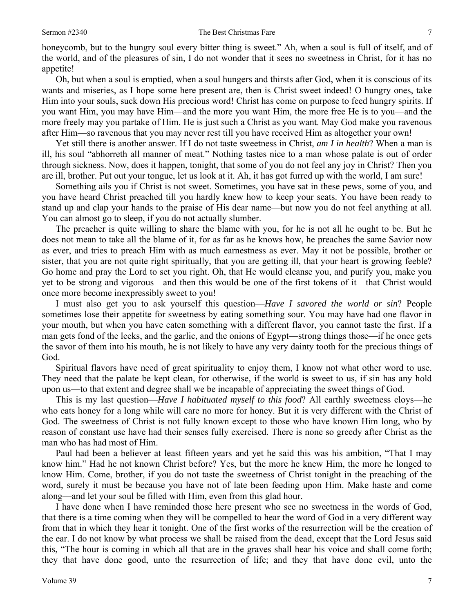honeycomb, but to the hungry soul every bitter thing is sweet." Ah, when a soul is full of itself, and of the world, and of the pleasures of sin, I do not wonder that it sees no sweetness in Christ, for it has no appetite!

Oh, but when a soul is emptied, when a soul hungers and thirsts after God, when it is conscious of its wants and miseries, as I hope some here present are, then is Christ sweet indeed! O hungry ones, take Him into your souls, suck down His precious word! Christ has come on purpose to feed hungry spirits. If you want Him, you may have Him—and the more you want Him, the more free He is to you—and the more freely may you partake of Him. He is just such a Christ as you want. May God make you ravenous after Him—so ravenous that you may never rest till you have received Him as altogether your own!

Yet still there is another answer. If I do not taste sweetness in Christ, *am I in health*? When a man is ill, his soul "abhorreth all manner of meat." Nothing tastes nice to a man whose palate is out of order through sickness. Now, does it happen, tonight, that some of you do not feel any joy in Christ? Then you are ill, brother. Put out your tongue, let us look at it. Ah, it has got furred up with the world, I am sure!

Something ails you if Christ is not sweet. Sometimes, you have sat in these pews, some of you, and you have heard Christ preached till you hardly knew how to keep your seats. You have been ready to stand up and clap your hands to the praise of His dear name—but now you do not feel anything at all. You can almost go to sleep, if you do not actually slumber.

The preacher is quite willing to share the blame with you, for he is not all he ought to be. But he does not mean to take all the blame of it, for as far as he knows how, he preaches the same Savior now as ever, and tries to preach Him with as much earnestness as ever. May it not be possible, brother or sister, that you are not quite right spiritually, that you are getting ill, that your heart is growing feeble? Go home and pray the Lord to set you right. Oh, that He would cleanse you, and purify you, make you yet to be strong and vigorous—and then this would be one of the first tokens of it—that Christ would once more become inexpressibly sweet to you!

I must also get you to ask yourself this question—*Have I savored the world or sin*? People sometimes lose their appetite for sweetness by eating something sour. You may have had one flavor in your mouth, but when you have eaten something with a different flavor, you cannot taste the first. If a man gets fond of the leeks, and the garlic, and the onions of Egypt—strong things those—if he once gets the savor of them into his mouth, he is not likely to have any very dainty tooth for the precious things of God.

Spiritual flavors have need of great spirituality to enjoy them, I know not what other word to use. They need that the palate be kept clean, for otherwise, if the world is sweet to us, if sin has any hold upon us—to that extent and degree shall we be incapable of appreciating the sweet things of God.

This is my last question—*Have I habituated myself to this food*? All earthly sweetness cloys—he who eats honey for a long while will care no more for honey. But it is very different with the Christ of God. The sweetness of Christ is not fully known except to those who have known Him long, who by reason of constant use have had their senses fully exercised. There is none so greedy after Christ as the man who has had most of Him.

Paul had been a believer at least fifteen years and yet he said this was his ambition, "That I may know him." Had he not known Christ before? Yes, but the more he knew Him, the more he longed to know Him. Come, brother, if you do not taste the sweetness of Christ tonight in the preaching of the word, surely it must be because you have not of late been feeding upon Him. Make haste and come along—and let your soul be filled with Him, even from this glad hour.

I have done when I have reminded those here present who see no sweetness in the words of God, that there is a time coming when they will be compelled to hear the word of God in a very different way from that in which they hear it tonight. One of the first works of the resurrection will be the creation of the ear. I do not know by what process we shall be raised from the dead, except that the Lord Jesus said this, "The hour is coming in which all that are in the graves shall hear his voice and shall come forth; they that have done good, unto the resurrection of life; and they that have done evil, unto the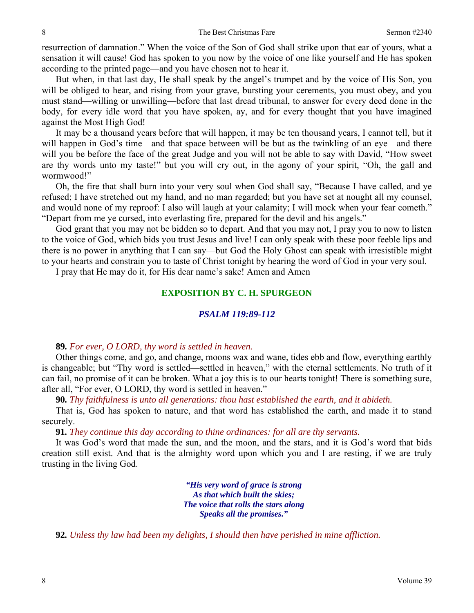resurrection of damnation." When the voice of the Son of God shall strike upon that ear of yours, what a sensation it will cause! God has spoken to you now by the voice of one like yourself and He has spoken according to the printed page—and you have chosen not to hear it.

But when, in that last day, He shall speak by the angel's trumpet and by the voice of His Son, you will be obliged to hear, and rising from your grave, bursting your cerements, you must obey, and you must stand—willing or unwilling—before that last dread tribunal, to answer for every deed done in the body, for every idle word that you have spoken, ay, and for every thought that you have imagined against the Most High God!

It may be a thousand years before that will happen, it may be ten thousand years, I cannot tell, but it will happen in God's time—and that space between will be but as the twinkling of an eye—and there will you be before the face of the great Judge and you will not be able to say with David, "How sweet are thy words unto my taste!" but you will cry out, in the agony of your spirit, "Oh, the gall and wormwood!"

Oh, the fire that shall burn into your very soul when God shall say, "Because I have called, and ye refused; I have stretched out my hand, and no man regarded; but you have set at nought all my counsel, and would none of my reproof: I also will laugh at your calamity; I will mock when your fear cometh." "Depart from me ye cursed, into everlasting fire, prepared for the devil and his angels."

God grant that you may not be bidden so to depart. And that you may not, I pray you to now to listen to the voice of God, which bids you trust Jesus and live! I can only speak with these poor feeble lips and there is no power in anything that I can say—but God the Holy Ghost can speak with irresistible might to your hearts and constrain you to taste of Christ tonight by hearing the word of God in your very soul.

I pray that He may do it, for His dear name's sake! Amen and Amen

#### **EXPOSITION BY C. H. SPURGEON**

#### *PSALM 119:89-112*

#### **89***. For ever, O LORD, thy word is settled in heaven.*

Other things come, and go, and change, moons wax and wane, tides ebb and flow, everything earthly is changeable; but "Thy word is settled—settled in heaven," with the eternal settlements. No truth of it can fail, no promise of it can be broken. What a joy this is to our hearts tonight! There is something sure, after all, "For ever, O LORD, thy word is settled in heaven."

#### **90***. Thy faithfulness is unto all generations: thou hast established the earth, and it abideth.*

That is, God has spoken to nature, and that word has established the earth, and made it to stand securely.

**91***. They continue this day according to thine ordinances: for all are thy servants.*

It was God's word that made the sun, and the moon, and the stars, and it is God's word that bids creation still exist. And that is the almighty word upon which you and I are resting, if we are truly trusting in the living God.

> *"His very word of grace is strong As that which built the skies; The voice that rolls the stars along Speaks all the promises."*

**92***. Unless thy law had been my delights, I should then have perished in mine affliction.*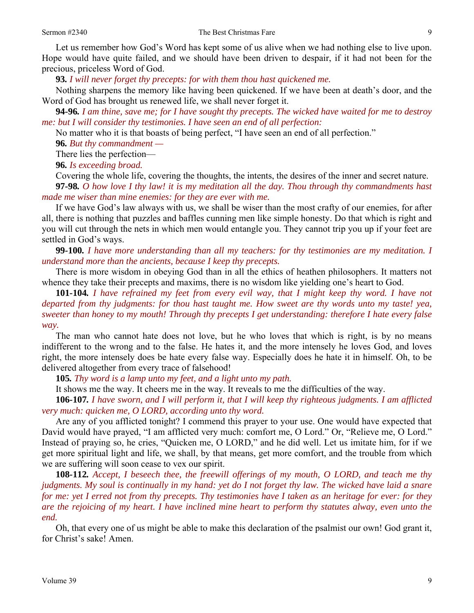Let us remember how God's Word has kept some of us alive when we had nothing else to live upon. Hope would have quite failed, and we should have been driven to despair, if it had not been for the precious, priceless Word of God.

**93***. I will never forget thy precepts: for with them thou hast quickened me.*

Nothing sharpens the memory like having been quickened. If we have been at death's door, and the Word of God has brought us renewed life, we shall never forget it.

**94***-***96***. I am thine, save me; for I have sought thy precepts. The wicked have waited for me to destroy me: but I will consider thy testimonies. I have seen an end of all perfection:*

No matter who it is that boasts of being perfect, "I have seen an end of all perfection."

**96***. But thy commandment —*

There lies the perfection—

**96***. Is exceeding broad.*

Covering the whole life, covering the thoughts, the intents, the desires of the inner and secret nature.

**97***-***98***. O how love I thy law! it is my meditation all the day. Thou through thy commandments hast made me wiser than mine enemies: for they are ever with me.*

If we have God's law always with us, we shall be wiser than the most crafty of our enemies, for after all, there is nothing that puzzles and baffles cunning men like simple honesty. Do that which is right and you will cut through the nets in which men would entangle you. They cannot trip you up if your feet are settled in God's ways.

**99***-***100***. I have more understanding than all my teachers: for thy testimonies are my meditation. I understand more than the ancients, because I keep thy precepts.*

There is more wisdom in obeying God than in all the ethics of heathen philosophers. It matters not whence they take their precepts and maxims, there is no wisdom like yielding one's heart to God.

**101***-***104***. I have refrained my feet from every evil way, that I might keep thy word. I have not departed from thy judgments: for thou hast taught me. How sweet are thy words unto my taste! yea, sweeter than honey to my mouth! Through thy precepts I get understanding: therefore I hate every false way.*

The man who cannot hate does not love, but he who loves that which is right, is by no means indifferent to the wrong and to the false. He hates it, and the more intensely he loves God, and loves right, the more intensely does be hate every false way. Especially does he hate it in himself. Oh, to be delivered altogether from every trace of falsehood!

**105***. Thy word is a lamp unto my feet, and a light unto my path.*

It shows me the way. It cheers me in the way. It reveals to me the difficulties of the way.

**106***-***107***. I have sworn, and I will perform it, that I will keep thy righteous judgments. I am afflicted very much: quicken me, O LORD, according unto thy word.*

Are any of you afflicted tonight? I commend this prayer to your use. One would have expected that David would have prayed, "I am afflicted very much: comfort me, O Lord." Or, "Relieve me, O Lord." Instead of praying so, he cries, "Quicken me, O LORD," and he did well. Let us imitate him, for if we get more spiritual light and life, we shall, by that means, get more comfort, and the trouble from which we are suffering will soon cease to vex our spirit.

**108***-***112***. Accept, I beseech thee, the freewill offerings of my mouth, O LORD, and teach me thy judgments. My soul is continually in my hand: yet do I not forget thy law. The wicked have laid a snare for me: yet I erred not from thy precepts. Thy testimonies have I taken as an heritage for ever: for they are the rejoicing of my heart. I have inclined mine heart to perform thy statutes alway, even unto the end.*

Oh, that every one of us might be able to make this declaration of the psalmist our own! God grant it, for Christ's sake! Amen.